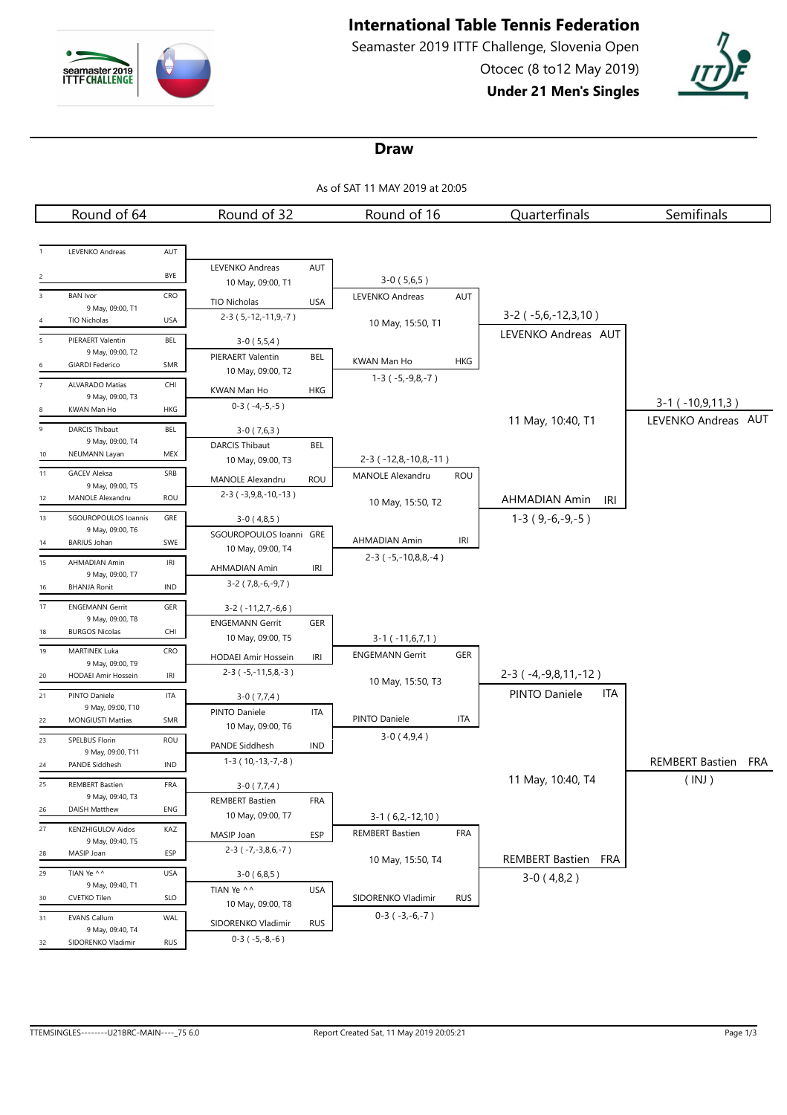

# **International Table Tennis Federation**

Seamaster 2019 ITTF Challenge, Slovenia Open Otocec (8 to12 May 2019)

**Under 21 Men's Singles**



#### **Draw**

As of SAT 11 MAY 2019 at 20:05

|                         | Round of 64                                |                                    | Round of 32                   |            | Round of 16                   |            | Quarterfinals                  | Semifinals             |     |
|-------------------------|--------------------------------------------|------------------------------------|-------------------------------|------------|-------------------------------|------------|--------------------------------|------------------------|-----|
|                         |                                            |                                    |                               |            |                               |            |                                |                        |     |
|                         | LEVENKO Andreas                            | AUT                                |                               |            |                               |            |                                |                        |     |
|                         |                                            |                                    | LEVENKO Andreas               | AUT        |                               |            |                                |                        |     |
|                         |                                            | BYE                                | 10 May, 09:00, T1             |            | $3-0(5,6,5)$                  |            |                                |                        |     |
| $\overline{\mathbf{3}}$ | <b>BAN</b> Ivor                            | CRO                                | TIO Nicholas                  | <b>USA</b> | LEVENKO Andreas               | AUT        |                                |                        |     |
|                         | 9 May, 09:00, T1                           |                                    | $2-3(5,-12,-11,9,-7)$         |            |                               |            | $3-2$ ( $-5,6,-12,3,10$ )      |                        |     |
| $\overline{4}$          | TIO Nicholas                               | <b>USA</b>                         |                               |            | 10 May, 15:50, T1             |            | LEVENKO Andreas AUT            |                        |     |
| 5                       | PIERAERT Valentin                          | BEL                                | $3-0(5,5,4)$                  |            |                               |            |                                |                        |     |
|                         | 9 May, 09:00, T2<br><b>GIARDI Federico</b> | SMR                                | PIERAERT Valentin             | BEL        | KWAN Man Ho                   | <b>HKG</b> |                                |                        |     |
| $\overline{7}$          | <b>ALVARADO Matias</b>                     | CHI                                | 10 May, 09:00, T2             |            | $1-3$ ( $-5,-9,8,-7$ )        |            |                                |                        |     |
|                         | 9 May, 09:00, T3                           |                                    | KWAN Man Ho                   | HKG        |                               |            |                                |                        |     |
| 8                       | KWAN Man Ho                                | HKG                                | $0-3(-4,-5,-5)$               |            |                               |            |                                | $3-1$ ( $-10,9,11,3$ ) |     |
| 9                       | <b>DARCIS Thibaut</b>                      | BEL                                | $3-0(7,6,3)$                  |            |                               |            | 11 May, 10:40, T1              | LEVENKO Andreas AUT    |     |
|                         | 9 May, 09:00, T4                           |                                    | <b>DARCIS Thibaut</b>         | BEL        |                               |            |                                |                        |     |
| 10                      | NEUMANN Layan                              | MEX                                | 10 May, 09:00, T3             |            | $2-3$ ( $-12,8,-10,8,-11$ )   |            |                                |                        |     |
| 11                      | <b>GACEV Aleksa</b>                        | SRB                                | MANOLE Alexandru              | <b>ROU</b> | <b>MANOLE Alexandru</b>       | ROU        |                                |                        |     |
| 12                      | 9 May, 09:00, T5<br>MANOLE Alexandru       | ROU                                | $2-3$ ( $-3,9,8,-10,-13$ )    |            |                               |            |                                |                        |     |
|                         |                                            |                                    |                               |            | 10 May, 15:50, T2             |            | AHMADIAN Amin<br>IRI           |                        |     |
| 13                      | SGOUROPOULOS Ioannis<br>9 May, 09:00, T6   | GRE                                | $3-0(4,8,5)$                  |            |                               |            | $1-3(9,-6,-9,-5)$              |                        |     |
| 14                      | <b>BARIUS Johan</b>                        | SWE                                | SGOUROPOULOS Ioanni GRE       |            | AHMADIAN Amin                 | <b>IRI</b> |                                |                        |     |
| 15                      | AHMADIAN Amin                              | $\ensuremath{\mathsf{IRl}}\xspace$ | 10 May, 09:00, T4             |            | $2-3$ ( $-5, -10, 8, 8, -4$ ) |            |                                |                        |     |
|                         | 9 May, 09:00, T7                           |                                    | AHMADIAN Amin                 | <b>IRI</b> |                               |            |                                |                        |     |
| 16                      | <b>BHANJA Ronit</b>                        | IND                                | $3-2$ (7,8,-6,-9,7)           |            |                               |            |                                |                        |     |
| 17                      | <b>ENGEMANN Gerrit</b>                     | GER                                | 3-2 (-11,2,7,-6,6)            |            |                               |            |                                |                        |     |
|                         | 9 May, 09:00, T8                           |                                    | <b>ENGEMANN Gerrit</b>        | GER        |                               |            |                                |                        |     |
| 18                      | <b>BURGOS Nicolas</b>                      | CHI                                | 10 May, 09:00, T5             |            | $3-1$ ( $-11,6,7,1$ )         |            |                                |                        |     |
| 19                      | <b>MARTINEK Luka</b>                       | CRO                                | HODAEI Amir Hossein           | IRI        | <b>ENGEMANN Gerrit</b>        | <b>GER</b> |                                |                        |     |
| 20                      | 9 May, 09:00, T9<br>HODAEI Amir Hossein    | IRI                                | $2-3$ ( $-5,-11,5,8,-3$ )     |            |                               |            | $2-3$ ( $-4, -9, 8, 11, -12$ ) |                        |     |
| 21                      | PINTO Daniele                              | <b>ITA</b>                         |                               |            | 10 May, 15:50, T3             |            | PINTO Daniele<br>ITA           |                        |     |
|                         | 9 May, 09:00, T10                          |                                    | $3-0(7,7,4)$<br>PINTO Daniele | <b>ITA</b> |                               |            |                                |                        |     |
| 22                      | <b>MONGIUSTI Mattias</b>                   | SMR                                | 10 May, 09:00, T6             |            | PINTO Daniele                 | <b>ITA</b> |                                |                        |     |
| 23                      | SPELBUS Florin                             | <b>ROU</b>                         | PANDE Siddhesh                |            | $3-0(4,9,4)$                  |            |                                |                        |     |
|                         | 9 May, 09:00, T11                          |                                    | $1-3(10,-13,-7,-8)$           | IND        |                               |            |                                | <b>REMBERT Bastien</b> |     |
| 24                      | PANDE Siddhesh                             | IND                                |                               |            |                               |            |                                |                        | FRA |
| 25                      | <b>REMBERT Bastien</b>                     | FRA                                | $3-0(7,7,4)$                  |            |                               |            | 11 May, 10:40, T4              | (INJ)                  |     |
| 26                      | 9 May, 09:40, T3<br>DAISH Matthew          | ENG                                | <b>REMBERT Bastien</b>        | FRA        |                               |            |                                |                        |     |
|                         |                                            |                                    | 10 May, 09:00, T7             |            | $3-1(6,2,-12,10)$             |            |                                |                        |     |
| 27                      | KENZHIGULOV Aidos<br>9 May, 09:40, T5      | KAZ                                | MASIP Joan                    | ESP        | <b>REMBERT Bastien</b>        | <b>FRA</b> |                                |                        |     |
| 28                      | MASIP Joan                                 | ESP                                | $2-3$ ( $-7, -3, 8, 6, -7$ )  |            |                               |            | REMBERT Bastien FRA            |                        |     |
| 29                      | TIAN Ye ^^                                 | USA                                | $3-0(6,8,5)$                  |            | 10 May, 15:50, T4             |            |                                |                        |     |
|                         | 9 May, 09:40, T1                           |                                    | TIAN Ye ^^                    | <b>USA</b> |                               |            | $3-0(4,8,2)$                   |                        |     |
| 30                      | <b>CVETKO Tilen</b>                        | <b>SLO</b>                         | 10 May, 09:00, T8             |            | SIDORENKO Vladimir            | <b>RUS</b> |                                |                        |     |
| 31                      | <b>EVANS Callum</b>                        | WAL                                | SIDORENKO Vladimir            | <b>RUS</b> | $0-3(-3,-6,-7)$               |            |                                |                        |     |
|                         | 9 May, 09:40, T4<br>SIDORENKO Vladimir     | <b>RUS</b>                         | $0-3(-5,-8,-6)$               |            |                               |            |                                |                        |     |
| 32                      |                                            |                                    |                               |            |                               |            |                                |                        |     |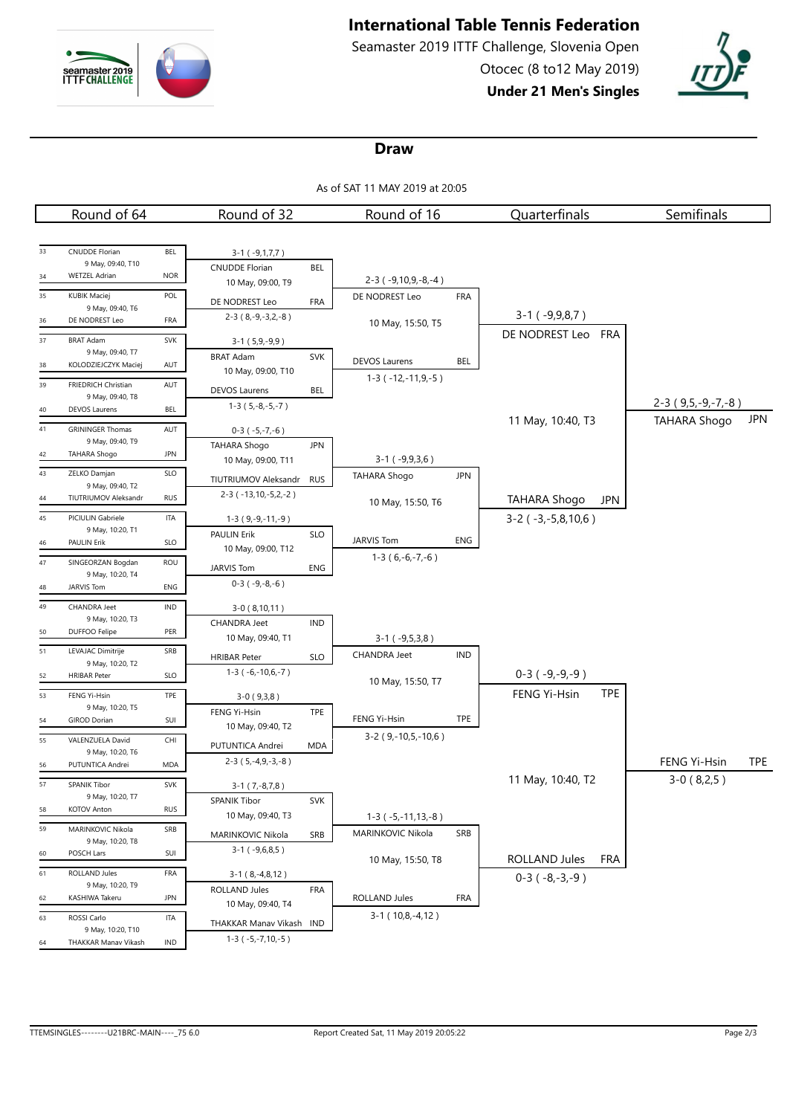

# **International Table Tennis Federation**

Seamaster 2019 ITTF Challenge, Slovenia Open Otocec (8 to12 May 2019)

**Under 21 Men's Singles**



#### **Draw**

As of SAT 11 MAY 2019 at 20:05

|    | Round of 64                               |            | Round of 32                                         |            | Round of 16                 |            | Quarterfinals               | Semifinals          |            |
|----|-------------------------------------------|------------|-----------------------------------------------------|------------|-----------------------------|------------|-----------------------------|---------------------|------------|
|    |                                           |            |                                                     |            |                             |            |                             |                     |            |
| 33 | <b>CNUDDE Florian</b>                     | BEL        | $3-1$ ( $-9,1,7,7$ )                                |            |                             |            |                             |                     |            |
| 34 | 9 May, 09:40, T10<br><b>WETZEL Adrian</b> | <b>NOR</b> | <b>CNUDDE Florian</b>                               | <b>BEL</b> |                             |            |                             |                     |            |
|    |                                           |            | 10 May, 09:00, T9                                   |            | $2-3$ ( $-9,10,9,-8,-4$ )   |            |                             |                     |            |
| 35 | <b>KUBIK Maciej</b><br>9 May, 09:40, T6   | POL        | DE NODREST Leo                                      | FRA        | DE NODREST Leo              | <b>FRA</b> |                             |                     |            |
| 36 | DE NODREST Leo                            | FRA        | $2-3(8,-9,-3,2,-8)$                                 |            | 10 May, 15:50, T5           |            | $3-1$ ( $-9,9,8,7$ )        |                     |            |
| 37 | <b>BRAT Adam</b>                          | <b>SVK</b> | $3-1(5,9,-9,9)$                                     |            |                             |            | DE NODREST Leo FRA          |                     |            |
|    | 9 May, 09:40, T7                          |            | <b>BRAT Adam</b>                                    | <b>SVK</b> | <b>DEVOS Laurens</b>        | <b>BEL</b> |                             |                     |            |
| 38 | KOLODZIEJCZYK Maciej                      | AUT        | 10 May, 09:00, T10                                  |            | $1-3$ ( $-12,-11,9,-5$ )    |            |                             |                     |            |
| 39 | FRIEDRICH Christian<br>9 May, 09:40, T8   | AUT        | <b>DEVOS Laurens</b>                                | <b>BEL</b> |                             |            |                             |                     |            |
| 40 | <b>DEVOS Laurens</b>                      | <b>BEL</b> | $1-3(5,-8,-5,-7)$                                   |            |                             |            |                             | $2-3(9,5,-9,-7,-8)$ |            |
| 41 | <b>GRININGER Thomas</b>                   | AUT        | $0-3(-5,-7,-6)$                                     |            |                             |            | 11 May, 10:40, T3           | <b>TAHARA Shogo</b> | <b>JPN</b> |
|    | 9 May, 09:40, T9                          |            | <b>TAHARA Shogo</b>                                 | <b>JPN</b> |                             |            |                             |                     |            |
| 42 | <b>TAHARA Shogo</b>                       | <b>JPN</b> | 10 May, 09:00, T11                                  |            | $3-1$ ( $-9,9,3,6$ )        |            |                             |                     |            |
| 43 | ZELKO Damjan                              | SLO        | TIUTRIUMOV Aleksandr                                | <b>RUS</b> | <b>TAHARA Shogo</b>         | <b>JPN</b> |                             |                     |            |
| 44 | 9 May, 09:40, T2<br>TIUTRIUMOV Aleksandr  | <b>RUS</b> | $2-3$ ( $-13, 10, -5, 2, -2$ )                      |            | 10 May, 15:50, T6           |            | <b>TAHARA Shogo</b><br>JPN  |                     |            |
| 45 | PICIULIN Gabriele                         | <b>ITA</b> | $1-3(9,-9,-11,-9)$                                  |            |                             |            | $3-2$ ( $-3,-5,8,10,6$ )    |                     |            |
|    | 9 May, 10:20, T1                          |            | PAULIN Erik                                         | <b>SLO</b> |                             |            |                             |                     |            |
| 46 | <b>PAULIN Erik</b>                        | <b>SLO</b> | 10 May, 09:00, T12                                  |            | <b>JARVIS Tom</b>           | ENG        |                             |                     |            |
| 47 | SINGEORZAN Bogdan                         | ROU        | JARVIS Tom                                          | ENG        | $1-3(6,-6,-7,-6)$           |            |                             |                     |            |
| 48 | 9 May, 10:20, T4<br><b>JARVIS Tom</b>     | ENG        | $0-3$ ( $-9,-8,-6$ )                                |            |                             |            |                             |                     |            |
| 49 | <b>CHANDRA Jeet</b>                       | <b>IND</b> | $3-0(8,10,11)$                                      |            |                             |            |                             |                     |            |
|    | 9 May, 10:20, T3                          |            | <b>CHANDRA Jeet</b>                                 | <b>IND</b> |                             |            |                             |                     |            |
| 50 | DUFFOO Felipe                             | PER        | 10 May, 09:40, T1                                   |            | $3-1$ ( $-9,5,3,8$ )        |            |                             |                     |            |
| 51 | LEVAJAC Dimitrije                         | SRB        | <b>HRIBAR Peter</b>                                 | <b>SLO</b> | <b>CHANDRA Jeet</b>         | IND        |                             |                     |            |
| 52 | 9 May, 10:20, T2<br><b>HRIBAR Peter</b>   | <b>SLO</b> | $1-3$ ( $-6,-10,6,-7$ )                             |            |                             |            | $0-3(-9,-9,-9)$             |                     |            |
| 53 | FENG Yi-Hsin                              | TPE        |                                                     |            | 10 May, 15:50, T7           |            | FENG Yi-Hsin<br><b>TPE</b>  |                     |            |
|    | 9 May, 10:20, T5                          |            | $3-0(9,3,8)$<br>FENG Yi-Hsin                        | TPE        |                             |            |                             |                     |            |
| 54 | <b>GIROD Dorian</b>                       | SUI        | 10 May, 09:40, T2                                   |            | FENG Yi-Hsin                | TPE        |                             |                     |            |
| 55 | VALENZUELA David                          | CHI        | PUTUNTICA Andrei                                    | <b>MDA</b> | $3-2$ (9,-10,5,-10,6)       |            |                             |                     |            |
| 56 | 9 May, 10:20, T6<br>PUTUNTICA Andrei      | MDA        | $2-3(5,-4,9,-3,-8)$                                 |            |                             |            |                             | FENG Yi-Hsin        | <b>TPE</b> |
| 57 | SPANIK Tibor                              | <b>SVK</b> |                                                     |            |                             |            | 11 May, 10:40, T2           | $3-0(8,2,5)$        |            |
|    | 9 May, 10:20, T7                          |            | $3-1(7,-8,7,8)$<br>SPANIK Tibor                     | SVK        |                             |            |                             |                     |            |
| 58 | <b>KOTOV Anton</b>                        | <b>RUS</b> | 10 May, 09:40, T3                                   |            | $1-3$ ( $-5, -11, 13, -8$ ) |            |                             |                     |            |
| 59 | MARINKOVIC Nikola                         | SRB        | MARINKOVIC Nikola                                   | SRB        | MARINKOVIC Nikola           | SRB        |                             |                     |            |
| 60 | 9 May, 10:20, T8<br>POSCH Lars            | SUI        | $3-1$ ( $-9,6,8,5$ )                                |            |                             |            |                             |                     |            |
|    |                                           |            |                                                     |            | 10 May, 15:50, T8           |            | ROLLAND Jules<br><b>FRA</b> |                     |            |
| 61 | ROLLAND Jules<br>9 May, 10:20, T9         | FRA        | $3-1$ ( $8, -4, 8, 12$ )                            |            |                             |            | $0-3(-8,-3,-9)$             |                     |            |
| 62 | KASHIWA Takeru                            | <b>JPN</b> | ROLLAND Jules<br>10 May, 09:40, T4                  | <b>FRA</b> | ROLLAND Jules               | FRA        |                             |                     |            |
| 63 | ROSSI Carlo                               | ITA        |                                                     |            | $3-1$ (10,8, -4,12)         |            |                             |                     |            |
|    | 9 May, 10:20, T10                         |            | THAKKAR Manav Vikash IND<br>$1-3$ ( $-5,-7,10,-5$ ) |            |                             |            |                             |                     |            |
| 64 | THAKKAR Manav Vikash                      | IND        |                                                     |            |                             |            |                             |                     |            |